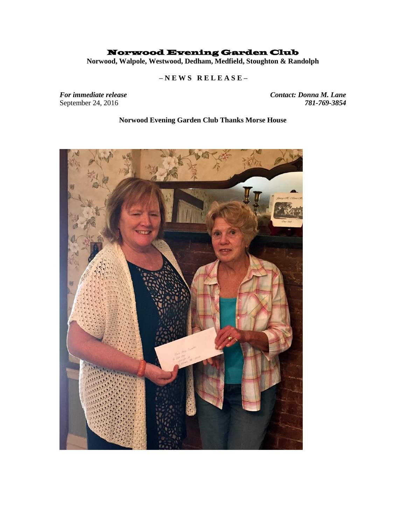## Norwood Evening Garden Club

**Norwood, Walpole, Westwood, Dedham, Medfield, Stoughton & Randolph**

## **– N E W S R E L E A S E –**

September 24, 2016

*For immediate release Contact: Donna M. Lane* 

**Norwood Evening Garden Club Thanks Morse House**